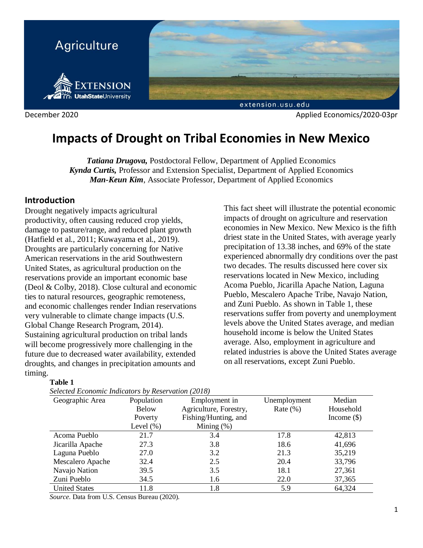

# **Impacts of Drought on Tribal Economies in New Mexico**

*Tatiana Drugova,* Postdoctoral Fellow, Department of Applied Economics *Kynda Curtis,* Professor and Extension Specialist, Department of Applied Economics *Man-Keun Kim*, Associate Professor, Department of Applied Economics

# **Introduction**

Drought negatively impacts agricultural productivity, often causing reduced crop yields, damage to pasture/range, and reduced plant growth (Hatfield et al., 2011; Kuwayama et al., 2019). Droughts are particularly concerning for Native American reservations in the arid Southwestern United States, as agricultural production on the reservations provide an important economic base (Deol & Colby, 2018). Close cultural and economic ties to natural resources, geographic remoteness, and economic challenges render Indian reservations very vulnerable to climate change impacts (U.S. Global Change Research Program, 2014). Sustaining agricultural production on tribal lands will become progressively more challenging in the future due to decreased water availability, extended droughts, and changes in precipitation amounts and timing.

### **Table 1**

|  | Selected Economic Indicators by Reservation (2018) |  |
|--|----------------------------------------------------|--|
|  |                                                    |  |

This fact sheet will illustrate the potential economic impacts of drought on agriculture and reservation economies in New Mexico. New Mexico is the fifth driest state in the United States, with average yearly precipitation of 13.38 inches, and 69% of the state experienced abnormally dry conditions over the past two decades. The results discussed here cover six reservations located in New Mexico, including Acoma Pueblo, Jicarilla Apache Nation, Laguna Pueblo, Mescalero Apache Tribe, Navajo Nation, and Zuni Pueblo. As shown in Table 1, these reservations suffer from poverty and unemployment levels above the United States average, and median household income is below the United States average. Also, employment in agriculture and related industries is above the United States average on all reservations, except Zuni Pueblo.

| Selected Economic Indicators by Reservation (2016) |              |                        |              |               |  |
|----------------------------------------------------|--------------|------------------------|--------------|---------------|--|
| Geographic Area                                    | Population   | Employment in          | Unemployment | Median        |  |
|                                                    | <b>Below</b> | Agriculture, Forestry, | Rate $(\% )$ | Household     |  |
|                                                    | Poverty      | Fishing/Hunting, and   |              | Income $(\$)$ |  |
|                                                    | Level $(\%)$ | Mining $(\%)$          |              |               |  |
| Acoma Pueblo                                       | 21.7         | 3.4                    | 17.8         | 42,813        |  |
| Jicarilla Apache                                   | 27.3         | 3.8                    | 18.6         | 41,696        |  |
| Laguna Pueblo                                      | 27.0         | 3.2                    | 21.3         | 35,219        |  |
| Mescalero Apache                                   | 32.4         | 2.5                    | 20.4         | 33,796        |  |
| Navajo Nation                                      | 39.5         | 3.5                    | 18.1         | 27,361        |  |
| Zuni Pueblo                                        | 34.5         | 1.6                    | 22.0         | 37,365        |  |
| <b>United States</b>                               | 11.8         | 1.8                    | 5.9          | 64,324        |  |
|                                                    |              |                        |              |               |  |

*Source*. Data from U.S. Census Bureau (2020).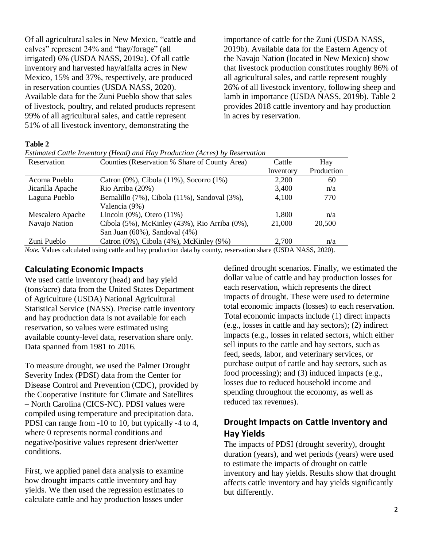Of all agricultural sales in New Mexico, "cattle and calves" represent 24% and "hay/forage" (all irrigated) 6% (USDA NASS, 2019a). Of all cattle inventory and harvested hay/alfalfa acres in New Mexico, 15% and 37%, respectively, are produced in reservation counties (USDA NASS, 2020). Available data for the Zuni Pueblo show that sales of livestock, poultry, and related products represent 99% of all agricultural sales, and cattle represent 51% of all livestock inventory, demonstrating the

importance of cattle for the Zuni (USDA NASS, 2019b). Available data for the Eastern Agency of the Navajo Nation (located in New Mexico) show that livestock production constitutes roughly 86% of all agricultural sales, and cattle represent roughly 26% of all livestock inventory, following sheep and lamb in importance (USDA NASS, 2019b). Table 2 provides 2018 cattle inventory and hay production in acres by reservation.

#### **Table 2**

*Estimated Cattle Inventory (Head) and Hay Production (Acres) by Reservation*

| Counties (Reservation % Share of County Area)      | Cattle    | Hay        |
|----------------------------------------------------|-----------|------------|
|                                                    | Inventory | Production |
| Catron $(0\%)$ , Cibola $(11\%)$ , Socorro $(1\%)$ | 2,200     | 60         |
| Rio Arriba (20%)                                   | 3,400     | n/a        |
| Bernalillo (7%), Cibola (11%), Sandoval (3%),      | 4,100     | 770        |
| Valencia (9%)                                      |           |            |
| Lincoln $(0\%)$ , Otero $(11\%)$                   | 1,800     | n/a        |
| Cibola (5%), McKinley (43%), Rio Arriba (0%),      | 21,000    | 20,500     |
| San Juan (60%), Sandoval (4%)                      |           |            |
| Catron $(0\%)$ , Cibola $(4\%)$ , McKinley $(9\%)$ | 2,700     | n/a        |
|                                                    |           |            |

*Note.* Values calculated using cattle and hay production data by county, reservation share (USDA NASS, 2020).

### **Calculating Economic Impacts**

We used cattle inventory (head) and hay yield (tons/acre) data from the United States Department of Agriculture (USDA) National Agricultural Statistical Service (NASS). Precise cattle inventory and hay production data is not available for each reservation, so values were estimated using available county-level data, reservation share only. Data spanned from 1981 to 2016.

To measure drought, we used the Palmer Drought Severity Index (PDSI) data from the Center for Disease Control and Prevention (CDC), provided by the Cooperative Institute for Climate and Satellites – North Carolina (CICS-NC). PDSI values were compiled using temperature and precipitation data. PDSI can range from -10 to 10, but typically -4 to 4, where 0 represents normal conditions and negative/positive values represent drier/wetter conditions.

First, we applied panel data analysis to examine how drought impacts cattle inventory and hay yields. We then used the regression estimates to calculate cattle and hay production losses under

defined drought scenarios. Finally, we estimated the dollar value of cattle and hay production losses for each reservation, which represents the direct impacts of drought. These were used to determine total economic impacts (losses) to each reservation. Total economic impacts include (1) direct impacts (e.g., losses in cattle and hay sectors); (2) indirect impacts (e.g., losses in related sectors, which either sell inputs to the cattle and hay sectors, such as feed, seeds, labor, and veterinary services, or purchase output of cattle and hay sectors, such as food processing); and (3) induced impacts (e.g., losses due to reduced household income and spending throughout the economy, as well as reduced tax revenues).

# **Drought Impacts on Cattle Inventory and Hay Yields**

The impacts of PDSI (drought severity), drought duration (years), and wet periods (years) were used to estimate the impacts of drought on cattle inventory and hay yields. Results show that drought affects cattle inventory and hay yields significantly but differently.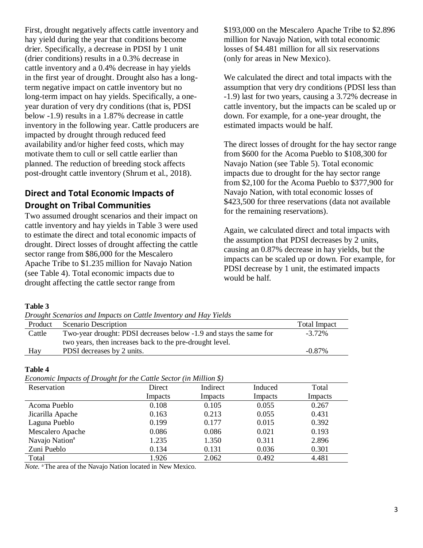First, drought negatively affects cattle inventory and hay yield during the year that conditions become drier. Specifically, a decrease in PDSI by 1 unit (drier conditions) results in a 0.3% decrease in cattle inventory and a 0.4% decrease in hay yields in the first year of drought. Drought also has a longterm negative impact on cattle inventory but no long-term impact on hay yields. Specifically, a oneyear duration of very dry conditions (that is, PDSI below -1.9) results in a 1.87% decrease in cattle inventory in the following year. Cattle producers are impacted by drought through reduced feed availability and/or higher feed costs, which may motivate them to cull or sell cattle earlier than planned. The reduction of breeding stock affects post-drought cattle inventory (Shrum et al., 2018).

# **Direct and Total Economic Impacts of Drought on Tribal Communities**

Two assumed drought scenarios and their impact on cattle inventory and hay yields in Table 3 were used to estimate the direct and total economic impacts of drought. Direct losses of drought affecting the cattle sector range from \$86,000 for the Mescalero Apache Tribe to \$1.235 million for Navajo Nation (see Table 4). Total economic impacts due to drought affecting the cattle sector range from

\$193,000 on the Mescalero Apache Tribe to \$2.896 million for Navajo Nation, with total economic losses of \$4.481 million for all six reservations (only for areas in New Mexico).

We calculated the direct and total impacts with the assumption that very dry conditions (PDSI less than -1.9) last for two years, causing a 3.72% decrease in cattle inventory, but the impacts can be scaled up or down. For example, for a one-year drought, the estimated impacts would be half.

The direct losses of drought for the hay sector range from \$600 for the Acoma Pueblo to \$108,300 for Navajo Nation (see Table 5). Total economic impacts due to drought for the hay sector range from \$2,100 for the Acoma Pueblo to \$377,900 for Navajo Nation, with total economic losses of \$423,500 for three reservations (data not available for the remaining reservations).

Again, we calculated direct and total impacts with the assumption that PDSI decreases by 2 units, causing an 0.87% decrease in hay yields, but the impacts can be scaled up or down. For example, for PDSI decrease by 1 unit, the estimated impacts would be half.

### **Table 3**

*Drought Scenarios and Impacts on Cattle Inventory and Hay Yields* 

| Product | Scenario Description                                               | <b>Total Impact</b> |
|---------|--------------------------------------------------------------------|---------------------|
| Cattle  | Two-year drought: PDSI decreases below -1.9 and stays the same for | $-3.72\%$           |
|         | two years, then increases back to the pre-drought level.           |                     |
| Hay     | PDSI decreases by 2 units.                                         | $-0.87\%$           |

### **Table 4**

*Economic Impacts of Drought for the Cattle Sector (in Million \$)*

| Leonomic Impacts of Drought for the Cattle Section (in mittion $\varphi$ )<br>Reservation | Direct  | Indirect | Induced | Total   |
|-------------------------------------------------------------------------------------------|---------|----------|---------|---------|
|                                                                                           |         |          |         |         |
|                                                                                           | Impacts | Impacts  | Impacts | Impacts |
| Acoma Pueblo                                                                              | 0.108   | 0.105    | 0.055   | 0.267   |
| Jicarilla Apache                                                                          | 0.163   | 0.213    | 0.055   | 0.431   |
| Laguna Pueblo                                                                             | 0.199   | 0.177    | 0.015   | 0.392   |
| Mescalero Apache                                                                          | 0.086   | 0.086    | 0.021   | 0.193   |
| Navajo Nation <sup>a</sup>                                                                | 1.235   | 1.350    | 0.311   | 2.896   |
| Zuni Pueblo                                                                               | 0.134   | 0.131    | 0.036   | 0.301   |
| Total                                                                                     | 1.926   | 2.062    | 0.492   | 4.481   |

*Note.* a The area of the Navajo Nation located in New Mexico.